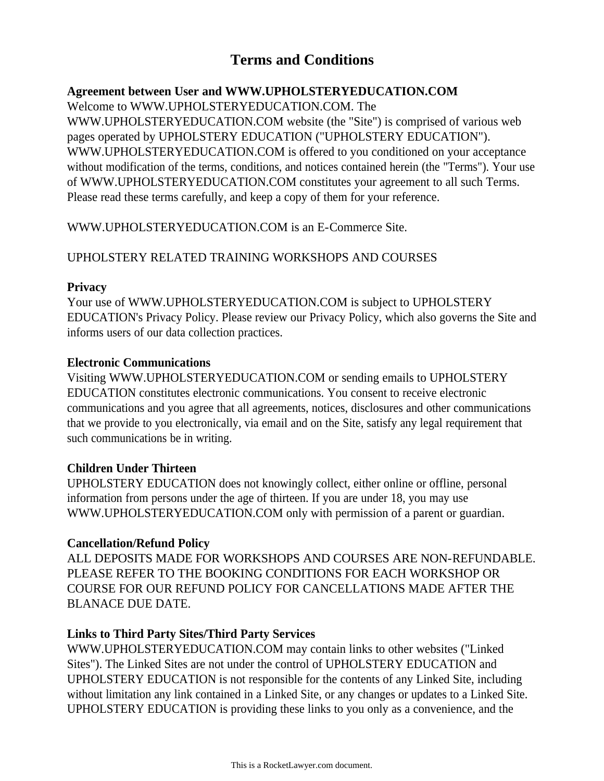# **Terms and Conditions**

## **Agreement between User and WWW.UPHOLSTERYEDUCATION.COM**

Welcome to WWW.UPHOLSTERYEDUCATION.COM. The

WWW.UPHOLSTERYEDUCATION.COM website (the "Site") is comprised of various web pages operated by UPHOLSTERY EDUCATION ("UPHOLSTERY EDUCATION"). WWW.UPHOLSTERYEDUCATION.COM is offered to you conditioned on your acceptance without modification of the terms, conditions, and notices contained herein (the "Terms"). Your use of WWW.UPHOLSTERYEDUCATION.COM constitutes your agreement to all such Terms. Please read these terms carefully, and keep a copy of them for your reference.

WWW.UPHOLSTERYEDUCATION.COM is an E-Commerce Site.

## UPHOLSTERY RELATED TRAINING WORKSHOPS AND COURSES

## **Privacy**

Your use of WWW.UPHOLSTERYEDUCATION.COM is subject to UPHOLSTERY EDUCATION's Privacy Policy. Please review our Privacy Policy, which also governs the Site and informs users of our data collection practices.

## **Electronic Communications**

Visiting WWW.UPHOLSTERYEDUCATION.COM or sending emails to UPHOLSTERY EDUCATION constitutes electronic communications. You consent to receive electronic communications and you agree that all agreements, notices, disclosures and other communications that we provide to you electronically, via email and on the Site, satisfy any legal requirement that such communications be in writing.

## **Children Under Thirteen**

UPHOLSTERY EDUCATION does not knowingly collect, either online or offline, personal information from persons under the age of thirteen. If you are under 18, you may use WWW.UPHOLSTERYEDUCATION.COM only with permission of a parent or guardian.

### **Cancellation/Refund Policy**

ALL DEPOSITS MADE FOR WORKSHOPS AND COURSES ARE NON-REFUNDABLE. PLEASE REFER TO THE BOOKING CONDITIONS FOR EACH WORKSHOP OR COURSE FOR OUR REFUND POLICY FOR CANCELLATIONS MADE AFTER THE BLANACE DUE DATE.

## **Links to Third Party Sites/Third Party Services**

WWW.UPHOLSTERYEDUCATION.COM may contain links to other websites ("Linked Sites"). The Linked Sites are not under the control of UPHOLSTERY EDUCATION and UPHOLSTERY EDUCATION is not responsible for the contents of any Linked Site, including without limitation any link contained in a Linked Site, or any changes or updates to a Linked Site. UPHOLSTERY EDUCATION is providing these links to you only as a convenience, and the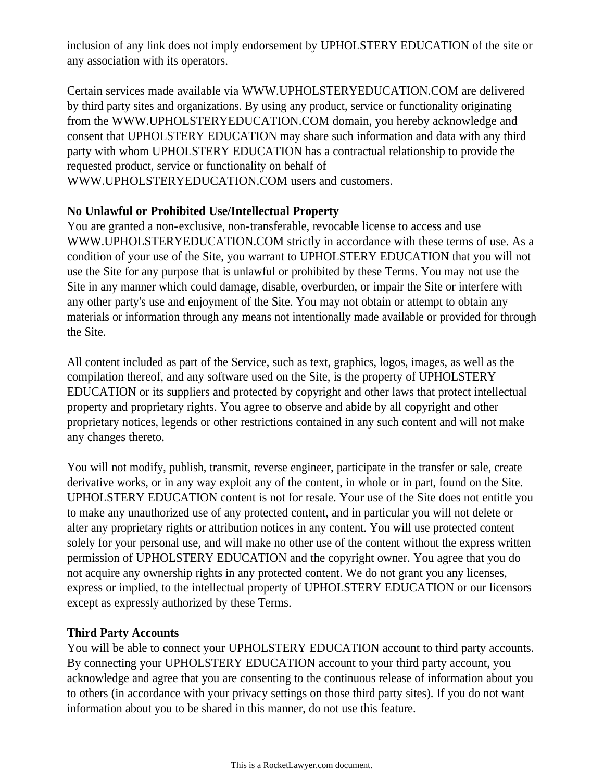inclusion of any link does not imply endorsement by UPHOLSTERY EDUCATION of the site or any association with its operators.

Certain services made available via WWW.UPHOLSTERYEDUCATION.COM are delivered by third party sites and organizations. By using any product, service or functionality originating from the WWW.UPHOLSTERYEDUCATION.COM domain, you hereby acknowledge and consent that UPHOLSTERY EDUCATION may share such information and data with any third party with whom UPHOLSTERY EDUCATION has a contractual relationship to provide the requested product, service or functionality on behalf of WWW.UPHOLSTERYEDUCATION.COM users and customers.

#### **No Unlawful or Prohibited Use/Intellectual Property**

You are granted a non-exclusive, non-transferable, revocable license to access and use WWW.UPHOLSTERYEDUCATION.COM strictly in accordance with these terms of use. As a condition of your use of the Site, you warrant to UPHOLSTERY EDUCATION that you will not use the Site for any purpose that is unlawful or prohibited by these Terms. You may not use the Site in any manner which could damage, disable, overburden, or impair the Site or interfere with any other party's use and enjoyment of the Site. You may not obtain or attempt to obtain any materials or information through any means not intentionally made available or provided for through the Site.

All content included as part of the Service, such as text, graphics, logos, images, as well as the compilation thereof, and any software used on the Site, is the property of UPHOLSTERY EDUCATION or its suppliers and protected by copyright and other laws that protect intellectual property and proprietary rights. You agree to observe and abide by all copyright and other proprietary notices, legends or other restrictions contained in any such content and will not make any changes thereto.

You will not modify, publish, transmit, reverse engineer, participate in the transfer or sale, create derivative works, or in any way exploit any of the content, in whole or in part, found on the Site. UPHOLSTERY EDUCATION content is not for resale. Your use of the Site does not entitle you to make any unauthorized use of any protected content, and in particular you will not delete or alter any proprietary rights or attribution notices in any content. You will use protected content solely for your personal use, and will make no other use of the content without the express written permission of UPHOLSTERY EDUCATION and the copyright owner. You agree that you do not acquire any ownership rights in any protected content. We do not grant you any licenses, express or implied, to the intellectual property of UPHOLSTERY EDUCATION or our licensors except as expressly authorized by these Terms.

### **Third Party Accounts**

You will be able to connect your UPHOLSTERY EDUCATION account to third party accounts. By connecting your UPHOLSTERY EDUCATION account to your third party account, you acknowledge and agree that you are consenting to the continuous release of information about you to others (in accordance with your privacy settings on those third party sites). If you do not want information about you to be shared in this manner, do not use this feature.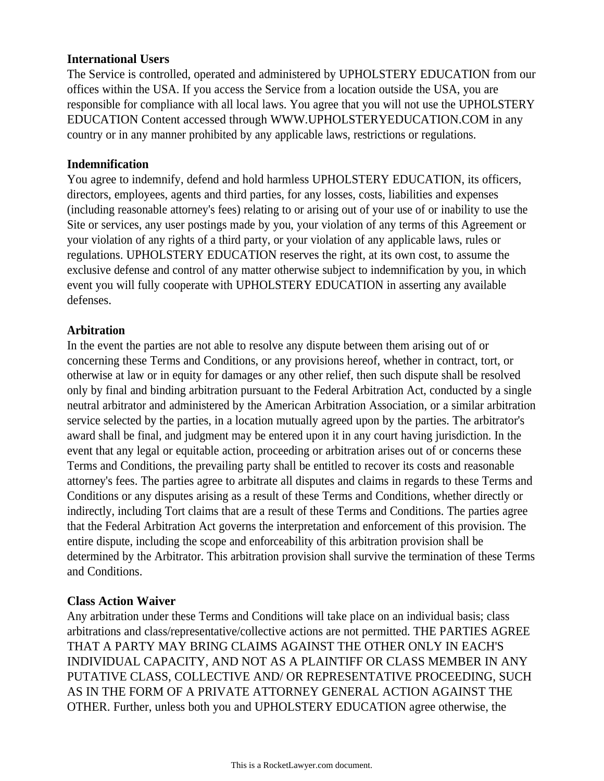#### **International Users**

The Service is controlled, operated and administered by UPHOLSTERY EDUCATION from our offices within the USA. If you access the Service from a location outside the USA, you are responsible for compliance with all local laws. You agree that you will not use the UPHOLSTERY EDUCATION Content accessed through WWW.UPHOLSTERYEDUCATION.COM in any country or in any manner prohibited by any applicable laws, restrictions or regulations.

#### **Indemnification**

You agree to indemnify, defend and hold harmless UPHOLSTERY EDUCATION, its officers, directors, employees, agents and third parties, for any losses, costs, liabilities and expenses (including reasonable attorney's fees) relating to or arising out of your use of or inability to use the Site or services, any user postings made by you, your violation of any terms of this Agreement or your violation of any rights of a third party, or your violation of any applicable laws, rules or regulations. UPHOLSTERY EDUCATION reserves the right, at its own cost, to assume the exclusive defense and control of any matter otherwise subject to indemnification by you, in which event you will fully cooperate with UPHOLSTERY EDUCATION in asserting any available defenses.

#### **Arbitration**

In the event the parties are not able to resolve any dispute between them arising out of or concerning these Terms and Conditions, or any provisions hereof, whether in contract, tort, or otherwise at law or in equity for damages or any other relief, then such dispute shall be resolved only by final and binding arbitration pursuant to the Federal Arbitration Act, conducted by a single neutral arbitrator and administered by the American Arbitration Association, or a similar arbitration service selected by the parties, in a location mutually agreed upon by the parties. The arbitrator's award shall be final, and judgment may be entered upon it in any court having jurisdiction. In the event that any legal or equitable action, proceeding or arbitration arises out of or concerns these Terms and Conditions, the prevailing party shall be entitled to recover its costs and reasonable attorney's fees. The parties agree to arbitrate all disputes and claims in regards to these Terms and Conditions or any disputes arising as a result of these Terms and Conditions, whether directly or indirectly, including Tort claims that are a result of these Terms and Conditions. The parties agree that the Federal Arbitration Act governs the interpretation and enforcement of this provision. The entire dispute, including the scope and enforceability of this arbitration provision shall be determined by the Arbitrator. This arbitration provision shall survive the termination of these Terms and Conditions.

### **Class Action Waiver**

Any arbitration under these Terms and Conditions will take place on an individual basis; class arbitrations and class/representative/collective actions are not permitted. THE PARTIES AGREE THAT A PARTY MAY BRING CLAIMS AGAINST THE OTHER ONLY IN EACH'S INDIVIDUAL CAPACITY, AND NOT AS A PLAINTIFF OR CLASS MEMBER IN ANY PUTATIVE CLASS, COLLECTIVE AND/ OR REPRESENTATIVE PROCEEDING, SUCH AS IN THE FORM OF A PRIVATE ATTORNEY GENERAL ACTION AGAINST THE OTHER. Further, unless both you and UPHOLSTERY EDUCATION agree otherwise, the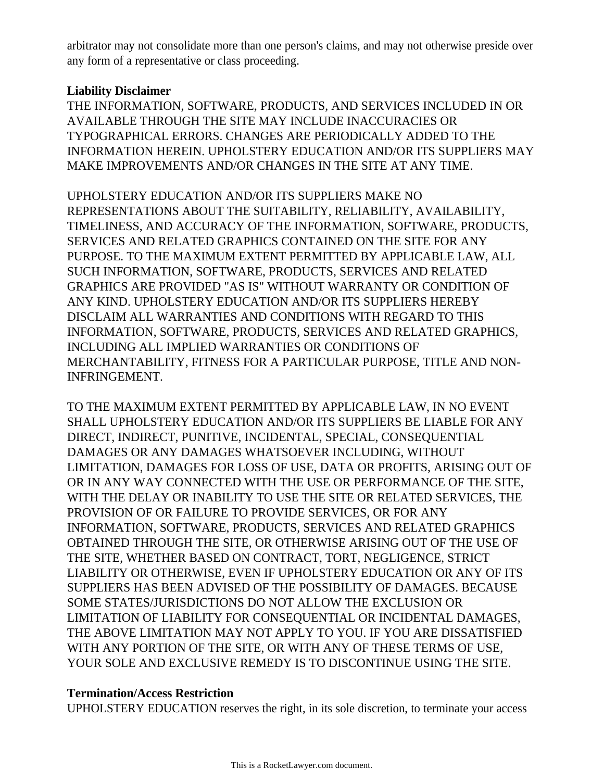arbitrator may not consolidate more than one person's claims, and may not otherwise preside over any form of a representative or class proceeding.

#### **Liability Disclaimer**

THE INFORMATION, SOFTWARE, PRODUCTS, AND SERVICES INCLUDED IN OR AVAILABLE THROUGH THE SITE MAY INCLUDE INACCURACIES OR TYPOGRAPHICAL ERRORS. CHANGES ARE PERIODICALLY ADDED TO THE INFORMATION HEREIN. UPHOLSTERY EDUCATION AND/OR ITS SUPPLIERS MAY MAKE IMPROVEMENTS AND/OR CHANGES IN THE SITE AT ANY TIME.

UPHOLSTERY EDUCATION AND/OR ITS SUPPLIERS MAKE NO REPRESENTATIONS ABOUT THE SUITABILITY, RELIABILITY, AVAILABILITY, TIMELINESS, AND ACCURACY OF THE INFORMATION, SOFTWARE, PRODUCTS, SERVICES AND RELATED GRAPHICS CONTAINED ON THE SITE FOR ANY PURPOSE. TO THE MAXIMUM EXTENT PERMITTED BY APPLICABLE LAW, ALL SUCH INFORMATION, SOFTWARE, PRODUCTS, SERVICES AND RELATED GRAPHICS ARE PROVIDED "AS IS" WITHOUT WARRANTY OR CONDITION OF ANY KIND. UPHOLSTERY EDUCATION AND/OR ITS SUPPLIERS HEREBY DISCLAIM ALL WARRANTIES AND CONDITIONS WITH REGARD TO THIS INFORMATION, SOFTWARE, PRODUCTS, SERVICES AND RELATED GRAPHICS, INCLUDING ALL IMPLIED WARRANTIES OR CONDITIONS OF MERCHANTABILITY, FITNESS FOR A PARTICULAR PURPOSE, TITLE AND NON-INFRINGEMENT.

TO THE MAXIMUM EXTENT PERMITTED BY APPLICABLE LAW, IN NO EVENT SHALL UPHOLSTERY EDUCATION AND/OR ITS SUPPLIERS BE LIABLE FOR ANY DIRECT, INDIRECT, PUNITIVE, INCIDENTAL, SPECIAL, CONSEQUENTIAL DAMAGES OR ANY DAMAGES WHATSOEVER INCLUDING, WITHOUT LIMITATION, DAMAGES FOR LOSS OF USE, DATA OR PROFITS, ARISING OUT OF OR IN ANY WAY CONNECTED WITH THE USE OR PERFORMANCE OF THE SITE, WITH THE DELAY OR INABILITY TO USE THE SITE OR RELATED SERVICES, THE PROVISION OF OR FAILURE TO PROVIDE SERVICES, OR FOR ANY INFORMATION, SOFTWARE, PRODUCTS, SERVICES AND RELATED GRAPHICS OBTAINED THROUGH THE SITE, OR OTHERWISE ARISING OUT OF THE USE OF THE SITE, WHETHER BASED ON CONTRACT, TORT, NEGLIGENCE, STRICT LIABILITY OR OTHERWISE, EVEN IF UPHOLSTERY EDUCATION OR ANY OF ITS SUPPLIERS HAS BEEN ADVISED OF THE POSSIBILITY OF DAMAGES. BECAUSE SOME STATES/JURISDICTIONS DO NOT ALLOW THE EXCLUSION OR LIMITATION OF LIABILITY FOR CONSEQUENTIAL OR INCIDENTAL DAMAGES, THE ABOVE LIMITATION MAY NOT APPLY TO YOU. IF YOU ARE DISSATISFIED WITH ANY PORTION OF THE SITE, OR WITH ANY OF THESE TERMS OF USE, YOUR SOLE AND EXCLUSIVE REMEDY IS TO DISCONTINUE USING THE SITE.

#### **Termination/Access Restriction**

UPHOLSTERY EDUCATION reserves the right, in its sole discretion, to terminate your access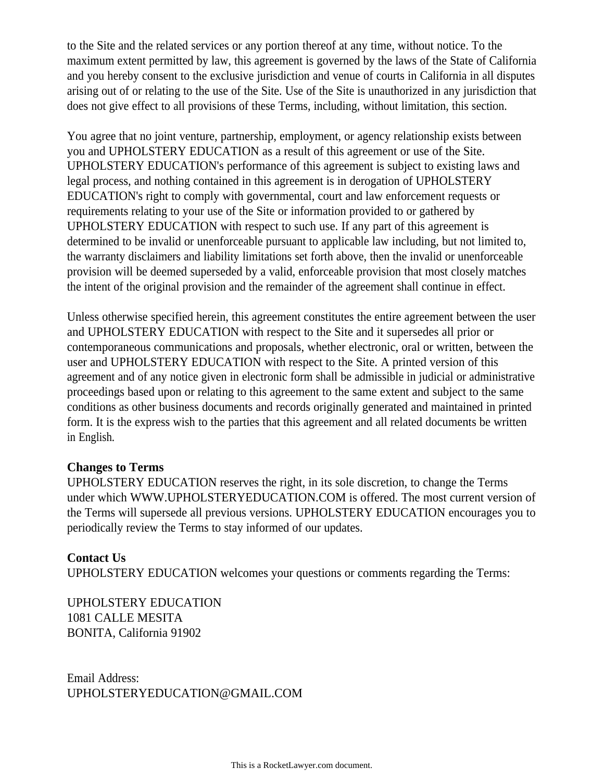to the Site and the related services or any portion thereof at any time, without notice. To the maximum extent permitted by law, this agreement is governed by the laws of the State of California and you hereby consent to the exclusive jurisdiction and venue of courts in California in all disputes arising out of or relating to the use of the Site. Use of the Site is unauthorized in any jurisdiction that does not give effect to all provisions of these Terms, including, without limitation, this section.

You agree that no joint venture, partnership, employment, or agency relationship exists between you and UPHOLSTERY EDUCATION as a result of this agreement or use of the Site. UPHOLSTERY EDUCATION's performance of this agreement is subject to existing laws and legal process, and nothing contained in this agreement is in derogation of UPHOLSTERY EDUCATION's right to comply with governmental, court and law enforcement requests or requirements relating to your use of the Site or information provided to or gathered by UPHOLSTERY EDUCATION with respect to such use. If any part of this agreement is determined to be invalid or unenforceable pursuant to applicable law including, but not limited to, the warranty disclaimers and liability limitations set forth above, then the invalid or unenforceable provision will be deemed superseded by a valid, enforceable provision that most closely matches the intent of the original provision and the remainder of the agreement shall continue in effect.

Unless otherwise specified herein, this agreement constitutes the entire agreement between the user and UPHOLSTERY EDUCATION with respect to the Site and it supersedes all prior or contemporaneous communications and proposals, whether electronic, oral or written, between the user and UPHOLSTERY EDUCATION with respect to the Site. A printed version of this agreement and of any notice given in electronic form shall be admissible in judicial or administrative proceedings based upon or relating to this agreement to the same extent and subject to the same conditions as other business documents and records originally generated and maintained in printed form. It is the express wish to the parties that this agreement and all related documents be written in English.

#### **Changes to Terms**

UPHOLSTERY EDUCATION reserves the right, in its sole discretion, to change the Terms under which WWW.UPHOLSTERYEDUCATION.COM is offered. The most current version of the Terms will supersede all previous versions. UPHOLSTERY EDUCATION encourages you to periodically review the Terms to stay informed of our updates.

#### **Contact Us**

UPHOLSTERY EDUCATION welcomes your questions or comments regarding the Terms:

UPHOLSTERY EDUCATION 1081 CALLE MESITA BONITA, California 91902

Email Address: UPHOLSTERYEDUCATION@GMAIL.COM